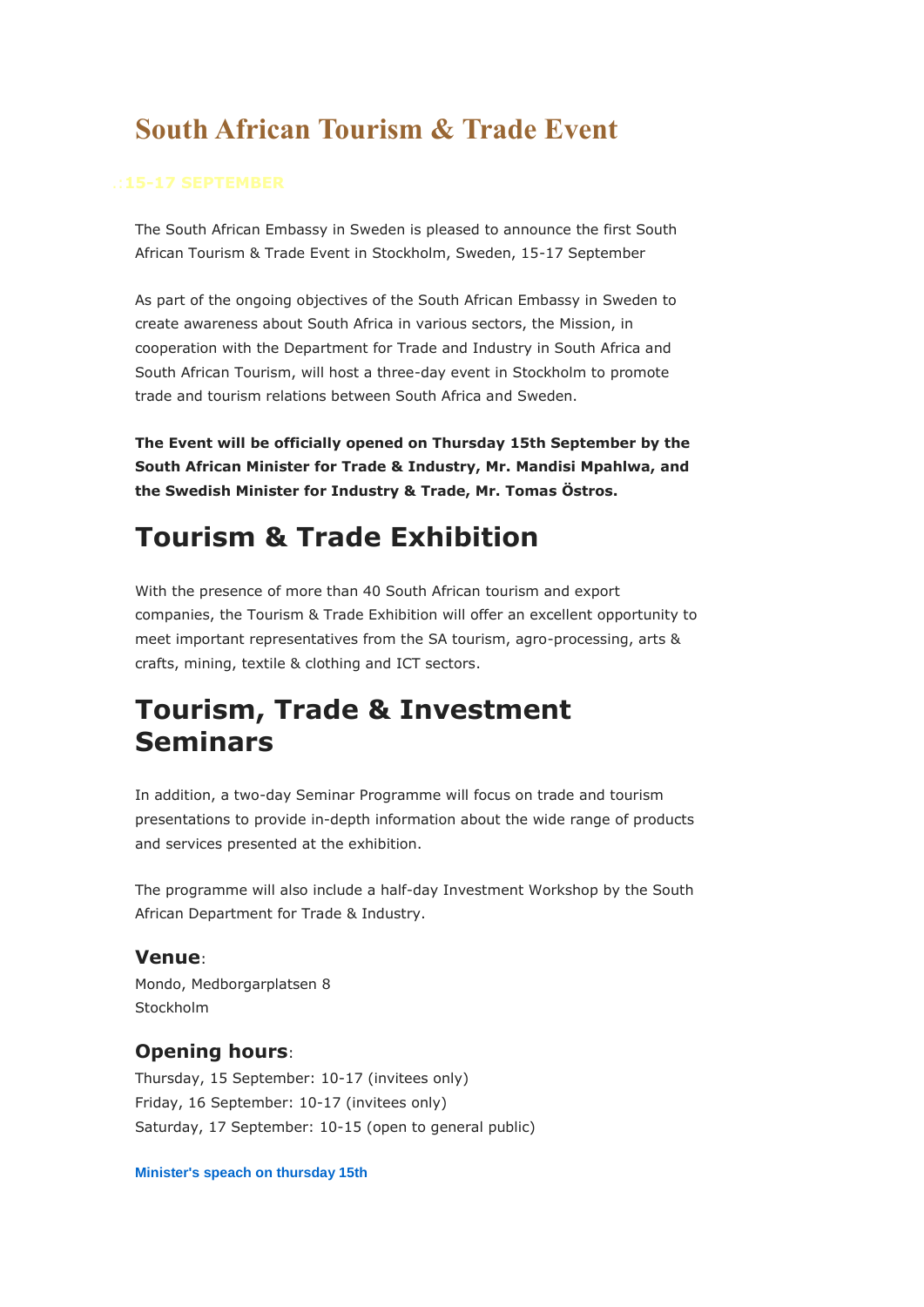# **South African Tourism & Trade Event**

The South African Embassy in Sweden is pleased to announce the first South African Tourism & Trade Event in Stockholm, Sweden, 15-17 September

As part of the ongoing objectives of the South African Embassy in Sweden to create awareness about South Africa in various sectors, the Mission, in cooperation with the Department for Trade and Industry in South Africa and South African Tourism, will host a three-day event in Stockholm to promote trade and tourism relations between South Africa and Sweden.

**The Event will be officially opened on Thursday 15th September by the South African Minister for Trade & Industry, Mr. Mandisi Mpahlwa, and the Swedish Minister for Industry & Trade, Mr. Tomas Östros.**

# **Tourism & Trade Exhibition**

With the presence of more than 40 South African tourism and export companies, the Tourism & Trade Exhibition will offer an excellent opportunity to meet important representatives from the SA tourism, agro-processing, arts & crafts, mining, textile & clothing and ICT sectors.

## **Tourism, Trade & Investment Seminars**

In addition, a two-day Seminar Programme will focus on trade and tourism presentations to provide in-depth information about the wide range of products and services presented at the exhibition.

The programme will also include a half-day Investment Workshop by the South African Department for Trade & Industry.

### **Venue**:

Mondo, Medborgarplatsen 8 Stockholm

## **Opening hours**:

Thursday, 15 September: 10-17 (invitees only) Friday, 16 September: 10-17 (invitees only) Saturday, 17 September: 10-15 (open to general public)

**[Minister's speach on thursday 15th](http://www.southafrica.se/events/ministerspeach1.htm)**